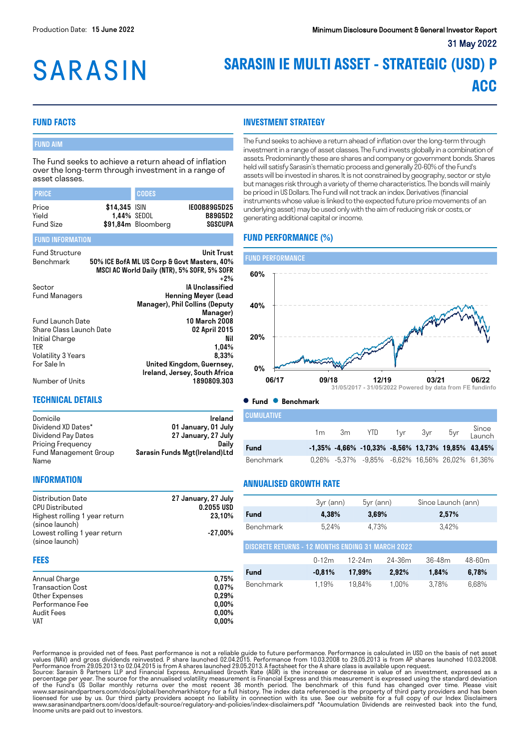# **SARASIN**

## **SARASIN IE MULTI ASSET - STRATEGIC (USD) P ACC**

#### **FUND FACTS**

#### FUND AIM

The Fund seeks to achieve a return ahead of inflation over the long-term through investment in a range of asset classes.

| <b>I PRICE</b>                     |                              | <b>CODES</b>       |                                           |
|------------------------------------|------------------------------|--------------------|-------------------------------------------|
| Price<br>Yield<br><b>Fund Size</b> | \$14,345 ISIN<br>1,44% SEDOL | \$91,84m Bloomberg | IE00B89G5D25<br><b>B89G5D2</b><br>SGSCUPA |
| <b>FUND INFORMATION</b>            |                              |                    |                                           |

| <b>Fund Structure</b><br>Benchmark | <b>Unit Trust</b><br>50% ICE BofA ML US Corp & Govt Masters, 40%<br>MSCI AC World Daily (NTR), 5% SOFR, 5% SOFR |
|------------------------------------|-----------------------------------------------------------------------------------------------------------------|
|                                    | $+2\%$                                                                                                          |
| Sector                             | <b>IA Unclassified</b>                                                                                          |
| <b>Fund Managers</b>               | <b>Henning Meyer (Lead</b>                                                                                      |
|                                    | Manager), Phil Collins (Deputy                                                                                  |
|                                    | Manager)                                                                                                        |
| <b>Fund Launch Date</b>            | 10 March 2008                                                                                                   |
| Share Class Launch Date            | 02 April 2015                                                                                                   |
| Initial Charge                     | Nil                                                                                                             |
| <b>TER</b>                         | 1,04%                                                                                                           |
| Volatility 3 Years                 | 8,33%                                                                                                           |
| For Sale In                        | United Kingdom, Guernsey,                                                                                       |
|                                    | Ireland, Jersey, South Africa                                                                                   |
| Number of Units                    | 1890809.303                                                                                                     |

#### **INVESTMENT STRATEGY**

The Fund seeks to achieve a return ahead of inflation over the long-term through investment in a range of asset classes. The Fund invests globally in a combination of assets. Predominantly these are shares and company or government bonds. Shares held will satisfy Sarasin's thematic process and generally 20-60% of the Fund's assets will be invested in shares. It is not constrained by geography, sector or style but manages risk through a variety of theme characteristics. The bonds will mainly be priced in US Dollars. The Fund will not track an index. Derivatives (financial instruments whose value is linked to the expected future price movements of an underlying asset) may be used only with the aim of reducing risk or costs, or generating additional capital or income.

#### **FUND PERFORMANCE (%)**



#### **TECHNICAL DETAILS**

| Domicile              | Ireland                       |
|-----------------------|-------------------------------|
| Dividend XD Dates*    | 01 January, 01 July           |
| Dividend Pay Dates    | 27 January, 27 July           |
| Pricing Frequency     | Dailv                         |
| Fund Management Group | Sarasin Funds Mgt(Ireland)Ltd |
| Name                  |                               |

**CUMULATIVE** 

|           | 1 m | 3m | YTD                                                           | 1yr 3yr | 5yr Since<br>Launch |
|-----------|-----|----|---------------------------------------------------------------|---------|---------------------|
| Fund      |     |    | $-1,35\%$ $-4,66\%$ $-10,33\%$ $-8,56\%$ 13,73% 19,85% 43,45% |         |                     |
| Benchmark |     |    | 0,26% -5,37% -9,85% -6,62% 16,56% 26,02% 61,36%               |         |                     |

#### **INFORMATION**

| Distribution Date<br><b>CPU Distributed</b>    | 27 January, 27 July<br>0.2055 USD |
|------------------------------------------------|-----------------------------------|
| Highest rolling 1 year return                  | 23.10%                            |
| (since launch)<br>Lowest rolling 1 year return | $-27.00\%$                        |
| (since launch)                                 |                                   |

#### **FEES**

| Annual Charge    | 0.75%    |
|------------------|----------|
| Transaction Cost | $0.07\%$ |
| Other Expenses   | 0.29%    |
| Performance Fee  | $0.00\%$ |
| Audit Fees       | $0.00\%$ |
| <b>VAT</b>       | $0.00\%$ |

#### **ANNUALISED GROWTH RATE**

|                                                          | 3yr (ann) | $5yr$ (ann) |            | Since Launch (ann) |        |  |  |
|----------------------------------------------------------|-----------|-------------|------------|--------------------|--------|--|--|
| Fund                                                     | 4,38%     | 3,69%       |            | 2,57%              |        |  |  |
| <b>Benchmark</b>                                         | 5,24%     | 4.73%       |            | 3.42%              |        |  |  |
| <b>DISCRETE RETURNS - 12 MONTHS ENDING 31 MARCH 2022</b> |           |             |            |                    |        |  |  |
|                                                          | $0 - 12m$ | $12-24m$    | $24 - 36m$ | $36 - 48m$         | 48-60m |  |  |
| Fund                                                     | $-0.81%$  | 17,99%      | 2,92%      | 1,84%              | 6,78%  |  |  |
| <b>Benchmark</b>                                         | 1.19%     | 19,84%      | 1.00%      | 3.78%              | 6,68%  |  |  |

Performance is provided net of fees. Past performance is not a reliable guide to future performance. Performance is calculated in USD on the basis of net asset<br>values (NAV) and gross dividends reinvested. P share launched of the Fund's US Dollar monthly returns over the most recent 36 month period. The benchmark of this fund has changed over time. Please visit<br>www.sarasinandpartners.com/docs/global/benchmarkhistory for a full history.The in Income units are paid out to investors.